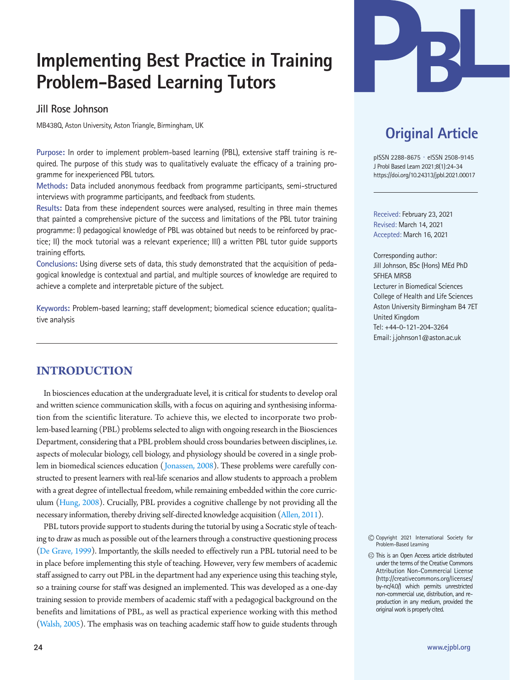# **Implementing Best Practice in Training Problem-Based Learning Tutors**

# **Jill Rose Johnson**

MB438Q, Aston University, Aston Triangle, Birmingham, UK

**Purpose:** In order to implement problem-based learning (PBL), extensive staff training is required. The purpose of this study was to qualitatively evaluate the efficacy of a training programme for inexperienced PBL tutors.

**Methods:** Data included anonymous feedback from programme participants, semi-structured interviews with programme participants, and feedback from students.

**Results:** Data from these independent sources were analysed, resulting in three main themes that painted a comprehensive picture of the success and limitations of the PBL tutor training programme: I) pedagogical knowledge of PBL was obtained but needs to be reinforced by practice; II) the mock tutorial was a relevant experience; III) a written PBL tutor guide supports training efforts.

**Conclusions:** Using diverse sets of data, this study demonstrated that the acquisition of pedagogical knowledge is contextual and partial, and multiple sources of knowledge are required to achieve a complete and interpretable picture of the subject.

**Keywords:** Problem-based learning; staff development; biomedical science education; qualitative analysis

# **INTRODUCTION**

In biosciences education at the undergraduate level, it is critical for students to develop oral and written science communication skills, with a focus on aquiring and synthesising information from the scientific literature. To achieve this, we elected to incorporate two problem-based learning (PBL) problems selected to align with ongoing research in the Biosciences Department, considering that a PBL problem should cross boundaries between disciplines, i.e. aspects of molecular biology, cell biology, and physiology should be covered in a single problem in biomedical sciences education [\(Jonassen, 2008](#page-10-0)). These problems were carefully constructed to present learners with real-life scenarios and allow students to approach a problem with a great degree of intellectual freedom, while remaining embedded within the core curriculum [\(Hung, 2008\)](#page-10-1). Crucially, PBL provides a cognitive challenge by not providing all the necessary information, thereby driving self-directed knowledge acquisition [\(Allen, 2011\)](#page-10-2).

PBL tutors provide support to students during the tutorial by using a Socratic style of teaching to draw as much as possible out of the learners through a constructive questioning process [\(De Grave, 1999\)](#page-10-3). Importantly, the skills needed to effectively run a PBL tutorial need to be in place before implementing this style of teaching. However, very few members of academic staff assigned to carry out PBL in the department had any experience using this teaching style, so a training course for staff was designed an implemented. This was developed as a one-day training session to provide members of academic staff with a pedagogical background on the benefits and limitations of PBL, as well as practical experience working with this method [\(Walsh, 2005\)](#page-10-4). The emphasis was on teaching academic staff how to guide students through



# **Original Article**

pISSN 2288-8675 · eISSN 2508-9145 J Probl Based Learn 2021;8(1):24-34 https://doi.org/10.24313/jpbl.2021.00017

Received: February 23, 2021 Revised: March 14, 2021 Accepted: March 16, 2021

Corresponding author: Jill Johnson, BSc (Hons) MEd PhD SFHEA MRSB Lecturer in Biomedical Sciences College of Health and Life Sciences Aston University Birmingham B4 7ET United Kingdom Tel: +44-0-121-204-3264 Email: j.johnson1@aston.ac.uk

Copyright 2021 International Society for Problem-Based Learning

This is an Open Access article distributed under the terms of the Creative Commons Attribution Non-Commercial License (http://creativecommons.org/licenses/ by-nc/4.0/) which permits unrestricted non-commercial use, distribution, and reproduction in any medium, provided the original work is properly cited.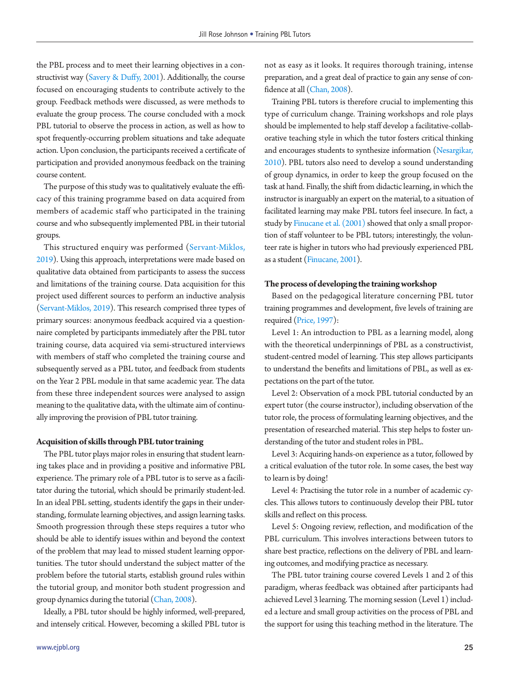the PBL process and to meet their learning objectives in a constructivist way [\(Savery & Duffy, 2001\)](#page-10-5). Additionally, the course focused on encouraging students to contribute actively to the group. Feedback methods were discussed, as were methods to evaluate the group process. The course concluded with a mock PBL tutorial to observe the process in action, as well as how to spot frequently-occurring problem situations and take adequate action. Upon conclusion, the participants received a certificate of participation and provided anonymous feedback on the training course content.

The purpose of this study was to qualitatively evaluate the efficacy of this training programme based on data acquired from members of academic staff who participated in the training course and who subsequently implemented PBL in their tutorial groups.

This structured enquiry was performed [\(Servant-Miklos,](#page-10-6) [2019\)](#page-10-6). Using this approach, interpretations were made based on qualitative data obtained from participants to assess the success and limitations of the training course. Data acquisition for this project used different sources to perform an inductive analysis [\(Servant-Miklos, 2019](#page-10-6)). This research comprised three types of primary sources: anonymous feedback acquired via a questionnaire completed by participants immediately after the PBL tutor training course, data acquired via semi-structured interviews with members of staff who completed the training course and subsequently served as a PBL tutor, and feedback from students on the Year 2 PBL module in that same academic year. The data from these three independent sources were analysed to assign meaning to the qualitative data, with the ultimate aim of continually improving the provision of PBL tutor training.

#### **Acquisition of skills through PBL tutor training**

The PBL tutor plays major roles in ensuring that student learning takes place and in providing a positive and informative PBL experience. The primary role of a PBL tutor is to serve as a facilitator during the tutorial, which should be primarily student-led. In an ideal PBL setting, students identify the gaps in their understanding, formulate learning objectives, and assign learning tasks. Smooth progression through these steps requires a tutor who should be able to identify issues within and beyond the context of the problem that may lead to missed student learning opportunities. The tutor should understand the subject matter of the problem before the tutorial starts, establish ground rules within the tutorial group, and monitor both student progression and group dynamics during the tutorial [\(Chan, 2008\)](#page-10-7).

Ideally, a PBL tutor should be highly informed, well-prepared, and intensely critical. However, becoming a skilled PBL tutor is

not as easy as it looks. It requires thorough training, intense preparation, and a great deal of practice to gain any sense of confidence at all (Chan, 2008).

Training PBL tutors is therefore crucial to implementing this type of curriculum change. Training workshops and role plays should be implemented to help staff develop a facilitative-collaborative teaching style in which the tutor fosters critical thinking and encourages students to synthesize information [\(Nesargikar,](#page-10-8)  [2010\)](#page-10-8). PBL tutors also need to develop a sound understanding of group dynamics, in order to keep the group focused on the task at hand. Finally, the shift from didactic learning, in which the instructor is inarguably an expert on the material, to a situation of facilitated learning may make PBL tutors feel insecure. In fact, a study by [Finucane et al. \(2001\)](#page-10-3) showed that only a small proportion of staff volunteer to be PBL tutors; interestingly, the volunteer rate is higher in tutors who had previously experienced PBL as a student [\(Finucane,](#page-10-3) [2001\)](#page-10-3).

#### **The process of developing the training workshop**

Based on the pedagogical literature concerning PBL tutor training programmes and development, five levels of training are required [\(Price, 1997](#page-10-9)):

Level 1: An introduction to PBL as a learning model, along with the theoretical underpinnings of PBL as a constructivist, student-centred model of learning. This step allows participants to understand the benefits and limitations of PBL, as well as expectations on the part of the tutor.

Level 2: Observation of a mock PBL tutorial conducted by an expert tutor (the course instructor), including observation of the tutor role, the process of formulating learning objectives, and the presentation of researched material. This step helps to foster understanding of the tutor and student roles in PBL.

Level 3: Acquiring hands-on experience as a tutor, followed by a critical evaluation of the tutor role. In some cases, the best way to learn is by doing!

Level 4: Practising the tutor role in a number of academic cycles. This allows tutors to continuously develop their PBL tutor skills and reflect on this process.

Level 5: Ongoing review, reflection, and modification of the PBL curriculum. This involves interactions between tutors to share best practice, reflections on the delivery of PBL and learning outcomes, and modifying practice as necessary.

The PBL tutor training course covered Levels 1 and 2 of this paradigm, wheras feedback was obtained after participants had achieved Level 3 learning. The morning session (Level 1) included a lecture and small group activities on the process of PBL and the support for using this teaching method in the literature. The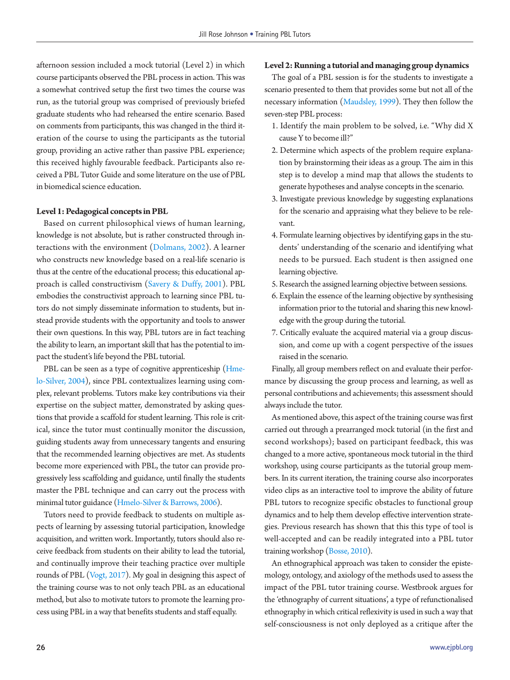afternoon session included a mock tutorial (Level 2) in which course participants observed the PBL process in action. This was a somewhat contrived setup the first two times the course was run, as the tutorial group was comprised of previously briefed graduate students who had rehearsed the entire scenario. Based on comments from participants, this was changed in the third iteration of the course to using the participants as the tutorial group, providing an active rather than passive PBL experience; this received highly favourable feedback. Participants also received a PBL Tutor Guide and some literature on the use of PBL in biomedical science education.

#### **Level 1: Pedagogical concepts in PBL**

Based on current philosophical views of human learning, knowledge is not absolute, but is rather constructed through interactions with the environment [\(Dolmans, 2002](#page-10-10)). A learner who constructs new knowledge based on a real-life scenario is thus at the centre of the educational process; this educational approach is called constructivism (Savery & Duffy, 2001). PBL embodies the constructivist approach to learning since PBL tutors do not simply disseminate information to students, but instead provide students with the opportunity and tools to answer their own questions. In this way, PBL tutors are in fact teaching the ability to learn, an important skill that has the potential to impact the student's life beyond the PBL tutorial.

PBL can be seen as a type of cognitive apprenticeship [\(Hme](#page-10-11)[lo-Silver, 2004](#page-10-11)), since PBL contextualizes learning using complex, relevant problems. Tutors make key contributions via their expertise on the subject matter, demonstrated by asking questions that provide a scaffold for student learning. This role is critical, since the tutor must continually monitor the discussion, guiding students away from unnecessary tangents and ensuring that the recommended learning objectives are met. As students become more experienced with PBL, the tutor can provide progressively less scaffolding and guidance, until finally the students master the PBL technique and can carry out the process with minimal tutor guidance [\(Hmelo-Silver](#page-10-10) [& Barrows, 2006](#page-10-10)).

Tutors need to provide feedback to students on multiple aspects of learning by assessing tutorial participation, knowledge acquisition, and written work. Importantly, tutors should also receive feedback from students on their ability to lead the tutorial, and continually improve their teaching practice over multiple rounds of PBL [\(Vogt, 2017\)](#page-10-12). My goal in designing this aspect of the training course was to not only teach PBL as an educational method, but also to motivate tutors to promote the learning process using PBL in a way that benefits students and staff equally.

#### **Level 2: Running a tutorial and managing group dynamics**

The goal of a PBL session is for the students to investigate a scenario presented to them that provides some but not all of the necessary information [\(Maudsley, 1999](#page-10-13)). They then follow the seven-step PBL process:

- 1. Identify the main problem to be solved, i.e. "Why did X cause Y to become ill?"
- 2. Determine which aspects of the problem require explanation by brainstorming their ideas as a group. The aim in this step is to develop a mind map that allows the students to generate hypotheses and analyse concepts in the scenario.
- 3. Investigate previous knowledge by suggesting explanations for the scenario and appraising what they believe to be relevant.
- 4. Formulate learning objectives by identifying gaps in the students' understanding of the scenario and identifying what needs to be pursued. Each student is then assigned one learning objective.
- 5. Research the assigned learning objective between sessions.
- 6. Explain the essence of the learning objective by synthesising information prior to the tutorial and sharing this new knowledge with the group during the tutorial.
- 7. Critically evaluate the acquired material via a group discussion, and come up with a cogent perspective of the issues raised in the scenario.

Finally, all group members reflect on and evaluate their performance by discussing the group process and learning, as well as personal contributions and achievements; this assessment should always include the tutor.

As mentioned above, this aspect of the training course was first carried out through a prearranged mock tutorial (in the first and second workshops); based on participant feedback, this was changed to a more active, spontaneous mock tutorial in the third workshop, using course participants as the tutorial group members. In its current iteration, the training course also incorporates video clips as an interactive tool to improve the ability of future PBL tutors to recognize specific obstacles to functional group dynamics and to help them develop effective intervention strategies. Previous research has shown that this this type of tool is well-accepted and can be readily integrated into a PBL tutor training workshop [\(Bosse, 2010\)](#page-10-2).

An ethnographical approach was taken to consider the epistemology, ontology, and axiology of the methods used to assess the impact of the PBL tutor training course. Westbrook argues for the 'ethnography of current situations', a type of refunctionalised ethnography in which critical reflexivity is used in such a way that self-consciousness is not only deployed as a critique after the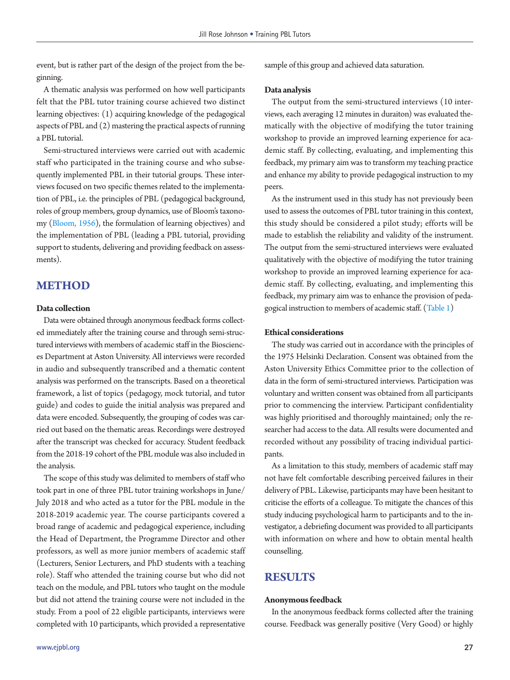event, but is rather part of the design of the project from the beginning.

A thematic analysis was performed on how well participants felt that the PBL tutor training course achieved two distinct learning objectives: (1) acquiring knowledge of the pedagogical aspects of PBL and (2) mastering the practical aspects of running a PBL tutorial.

Semi-structured interviews were carried out with academic staff who participated in the training course and who subsequently implemented PBL in their tutorial groups. These interviews focused on two specific themes related to the implementation of PBL, i.e. the principles of PBL (pedagogical background, roles of group members, group dynamics, use of Bloom's taxonomy [\(Bloom, 1956](#page-10-14)), the formulation of learning objectives) and the implementation of PBL (leading a PBL tutorial, providing support to students, delivering and providing feedback on assessments).

# **METHOD**

#### **Data collection**

Data were obtained through anonymous feedback forms collected immediately after the training course and through semi-structured interviews with members of academic staff in the Biosciences Department at Aston University. All interviews were recorded in audio and subsequently transcribed and a thematic content analysis was performed on the transcripts. Based on a theoretical framework, a list of topics (pedagogy, mock tutorial, and tutor guide) and codes to guide the initial analysis was prepared and data were encoded. Subsequently, the grouping of codes was carried out based on the thematic areas. Recordings were destroyed after the transcript was checked for accuracy. Student feedback from the 2018-19 cohort of the PBL module was also included in the analysis.

The scope of this study was delimited to members of staff who took part in one of three PBL tutor training workshops in June/ July 2018 and who acted as a tutor for the PBL module in the 2018-2019 academic year. The course participants covered a broad range of academic and pedagogical experience, including the Head of Department, the Programme Director and other professors, as well as more junior members of academic staff (Lecturers, Senior Lecturers, and PhD students with a teaching role). Staff who attended the training course but who did not teach on the module, and PBL tutors who taught on the module but did not attend the training course were not included in the study. From a pool of 22 eligible participants, interviews were completed with 10 participants, which provided a representative sample of this group and achieved data saturation.

#### **Data analysis**

The output from the semi-structured interviews (10 interviews, each averaging 12 minutes in duraiton) was evaluated thematically with the objective of modifying the tutor training workshop to provide an improved learning experience for academic staff. By collecting, evaluating, and implementing this feedback, my primary aim was to transform my teaching practice and enhance my ability to provide pedagogical instruction to my peers.

As the instrument used in this study has not previously been used to assess the outcomes of PBL tutor training in this context, this study should be considered a pilot study; efforts will be made to establish the reliability and validity of the instrument. The output from the semi-structured interviews were evaluated qualitatively with the objective of modifying the tutor training workshop to provide an improved learning experience for academic staff. By collecting, evaluating, and implementing this feedback, my primary aim was to enhance the provision of pedagogical instruction to members of academic staff. [\(Table 1\)](#page-4-0)

#### **Ethical considerations**

The study was carried out in accordance with the principles of the 1975 Helsinki Declaration. Consent was obtained from the Aston University Ethics Committee prior to the collection of data in the form of semi-structured interviews. Participation was voluntary and written consent was obtained from all participants prior to commencing the interview. Participant confidentiality was highly prioritised and thoroughly maintained; only the researcher had access to the data. All results were documented and recorded without any possibility of tracing individual participants.

As a limitation to this study, members of academic staff may not have felt comfortable describing perceived failures in their delivery of PBL. Likewise, participants may have been hesitant to criticise the efforts of a colleague. To mitigate the chances of this study inducing psychological harm to participants and to the investigator, a debriefing document was provided to all participants with information on where and how to obtain mental health counselling.

## **RESULTS**

#### **Anonymous feedback**

In the anonymous feedback forms collected after the training course. Feedback was generally positive (Very Good) or highly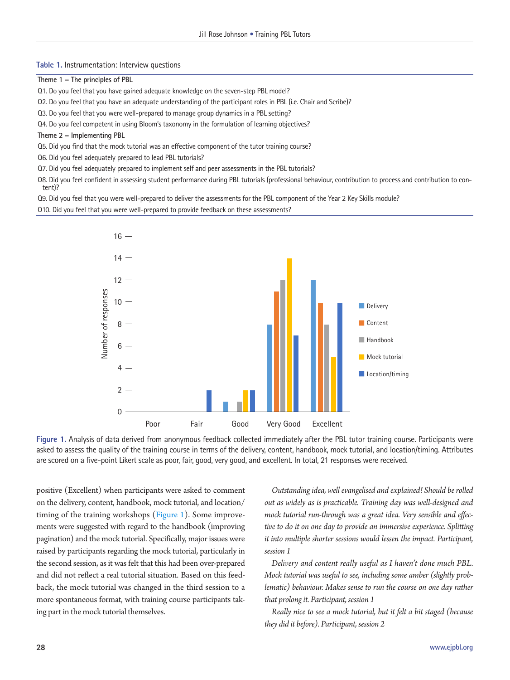#### <span id="page-4-0"></span>**Table 1.** Instrumentation: Interview questions

**Theme 1 – The principles of PBL**

Q1. Do you feel that you have gained adequate knowledge on the seven-step PBL model?

Q2. Do you feel that you have an adequate understanding of the participant roles in PBL (i.e. Chair and Scribe)?

Q3. Do you feel that you were well-prepared to manage group dynamics in a PBL setting?

- Q4. Do you feel competent in using Bloom's taxonomy in the formulation of learning objectives?
- **Theme 2 Implementing PBL**
- Q5. Did you find that the mock tutorial was an effective component of the tutor training course?
- Q6. Did you feel adequately prepared to lead PBL tutorials?
- Q7. Did you feel adequately prepared to implement self and peer assessments in the PBL tutorials?

Q8. Did you feel confident in assessing student performance during PBL tutorials (professional behaviour, contribution to process and contribution to content)?

Q9. Did you feel that you were well-prepared to deliver the assessments for the PBL component of the Year 2 Key Skills module?

<span id="page-4-1"></span>Q10. Did you feel that you were well-prepared to provide feedback on these assessments?



**Figure 1.** Analysis of data derived from anonymous feedback collected immediately after the PBL tutor training course. Participants were asked to assess the quality of the training course in terms of the delivery, content, handbook, mock tutorial, and location/timing. Attributes are scored on a five-point Likert scale as poor, fair, good, very good, and excellent. In total, 21 responses were received.

positive (Excellent) when participants were asked to comment on the delivery, content, handbook, mock tutorial, and location/ timing of the training workshops [\(Figure 1](#page-4-1)). Some improvements were suggested with regard to the handbook (improving pagination) and the mock tutorial. Specifically, major issues were raised by participants regarding the mock tutorial, particularly in the second session, as it was felt that this had been over-prepared and did not reflect a real tutorial situation. Based on this feedback, the mock tutorial was changed in the third session to a more spontaneous format, with training course participants taking part in the mock tutorial themselves.

*Outstanding idea, well evangelised and explained! Should be rolled out as widely as is practicable. Training day was well-designed and mock tutorial run-through was a great idea. Very sensible and effective to do it on one day to provide an immersive experience. Splitting it into multiple shorter sessions would lessen the impact. Participant, session 1* 

*Delivery and content really useful as I haven't done much PBL. Mock tutorial was useful to see, including some amber (slightly problematic) behaviour. Makes sense to run the course on one day rather that prolong it. Participant, session 1* 

*Really nice to see a mock tutorial, but it felt a bit staged (because they did it before). Participant, session 2*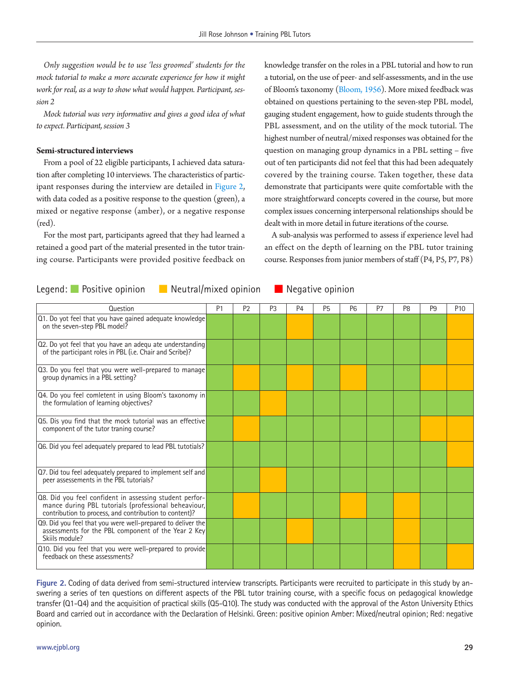*Only suggestion would be to use 'less groomed' students for the mock tutorial to make a more accurate experience for how it might work for real, as a way to show what would happen. Participant, session 2* 

*Mock tutorial was very informative and gives a good idea of what to expect. Participant, session 3* 

#### **Semi-structured interviews**

From a pool of 22 eligible participants, I achieved data saturation after completing 10 interviews. The characteristics of participant responses during the interview are detailed in [Figure 2](#page-5-0), with data coded as a positive response to the question (green), a mixed or negative response (amber), or a negative response (red).

For the most part, participants agreed that they had learned a retained a good part of the material presented in the tutor training course. Participants were provided positive feedback on knowledge transfer on the roles in a PBL tutorial and how to run a tutorial, on the use of peer- and self-assessments, and in the use of Bloom's taxonomy (Bloom, 1956). More mixed feedback was obtained on questions pertaining to the seven-step PBL model, gauging student engagement, how to guide students through the PBL assessment, and on the utility of the mock tutorial. The highest number of neutral/mixed responses was obtained for the question on managing group dynamics in a PBL setting – five out of ten participants did not feel that this had been adequately covered by the training course. Taken together, these data demonstrate that participants were quite comfortable with the more straightforward concepts covered in the course, but more complex issues concerning interpersonal relationships should be dealt with in more detail in future iterations of the course.

A sub-analysis was performed to assess if experience level had an effect on the depth of learning on the PBL tutor training course. Responses from junior members of staff (P4, P5, P7, P8)

| Question                                                                                                                                                                  | P <sub>1</sub> | P <sub>2</sub> | P <sub>3</sub> | P <sub>4</sub> | <b>P5</b> | P <sub>6</sub> | P <sub>7</sub> | P <sub>8</sub> | P <sub>9</sub> | P <sub>10</sub> |
|---------------------------------------------------------------------------------------------------------------------------------------------------------------------------|----------------|----------------|----------------|----------------|-----------|----------------|----------------|----------------|----------------|-----------------|
| Q1. Do yot feel that you have gained adequate knowledge<br>on the seven-step PBL model?                                                                                   |                |                |                |                |           |                |                |                |                |                 |
| 02. Do yot feel that you have an adequ ate understanding<br>of the participant roles in PBL (i.e. Chair and Scribe)?                                                      |                |                |                |                |           |                |                |                |                |                 |
| Q3. Do you feel that you were well-prepared to manage<br>group dynamics in a PBL setting?                                                                                 |                |                |                |                |           |                |                |                |                |                 |
| Q4. Do you feel comletent in using Bloom's taxonomy in<br>the formulation of learning objectives?                                                                         |                |                |                |                |           |                |                |                |                |                 |
| Q5. Dis you find that the mock tutorial was an effective<br>component of the tutor traning course?                                                                        |                |                |                |                |           |                |                |                |                |                 |
| Q6. Did you feel adequately prepared to lead PBL tutotials?                                                                                                               |                |                |                |                |           |                |                |                |                |                 |
| Q7. Did tou feel adequately prepared to implement self and<br>peer assessements in the PBL tutorials?                                                                     |                |                |                |                |           |                |                |                |                |                 |
| Q8. Did you feel confident in assessing student perfor-<br>mance during PBL tutorials (professional beheaviour,<br>contribution to process, and contribution to content)? |                |                |                |                |           |                |                |                |                |                 |
| Q9. Did you feel that you were well-prepared to deliver the<br>assessments for the PBL component of the Year 2 Key<br>Skiils module?                                      |                |                |                |                |           |                |                |                |                |                 |
| Q10. Did you feel that you were well-prepared to provide<br>feedback on these assessments?                                                                                |                |                |                |                |           |                |                |                |                |                 |

# <span id="page-5-0"></span>Legend: Positive opinion **B** Neutral/mixed opinion **B** Negative opinion

**Figure 2.** Coding of data derived from semi-structured interview transcripts. Participants were recruited to participate in this study by answering a series of ten questions on different aspects of the PBL tutor training course, with a specific focus on pedagogical knowledge transfer (Q1-Q4) and the acquisition of practical skills (Q5-Q10). The study was conducted with the approval of the Aston University Ethics Board and carried out in accordance with the Declaration of Helsinki. Green: positive opinion Amber: Mixed/neutral opinion; Red: negative opinion.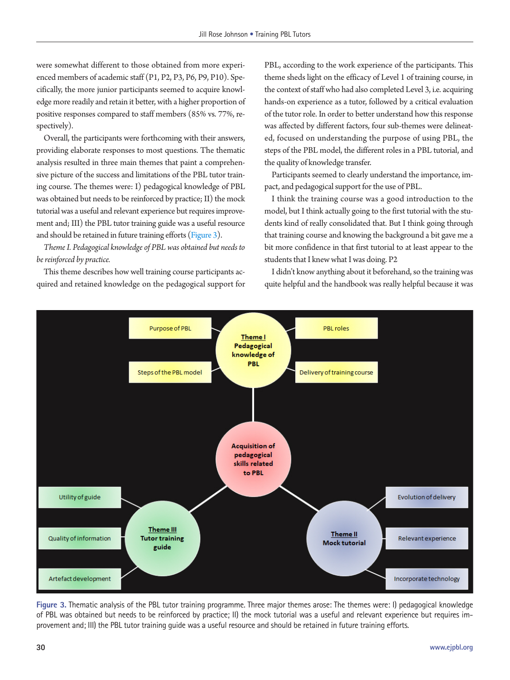were somewhat different to those obtained from more experienced members of academic staff (P1, P2, P3, P6, P9, P10). Specifically, the more junior participants seemed to acquire knowledge more readily and retain it better, with a higher proportion of positive responses compared to staff members (85% vs. 77%, respectively).

Overall, the participants were forthcoming with their answers, providing elaborate responses to most questions. The thematic analysis resulted in three main themes that paint a comprehensive picture of the success and limitations of the PBL tutor training course. The themes were: I) pedagogical knowledge of PBL was obtained but needs to be reinforced by practice; II) the mock tutorial was a useful and relevant experience but requires improvement and; III) the PBL tutor training guide was a useful resource and should be retained in future training efforts [\(Figure 3\)](#page-6-0).

*Theme I. Pedagogical knowledge of PBL was obtained but needs to be reinforced by practice.* 

This theme describes how well training course participants acquired and retained knowledge on the pedagogical support for PBL, according to the work experience of the participants. This theme sheds light on the efficacy of Level 1 of training course, in the context of staff who had also completed Level 3, i.e. acquiring hands-on experience as a tutor, followed by a critical evaluation of the tutor role. In order to better understand how this response was affected by different factors, four sub-themes were delineated, focused on understanding the purpose of using PBL, the steps of the PBL model, the different roles in a PBL tutorial, and the quality of knowledge transfer.

Participants seemed to clearly understand the importance, impact, and pedagogical support for the use of PBL.

I think the training course was a good introduction to the model, but I think actually going to the first tutorial with the students kind of really consolidated that. But I think going through that training course and knowing the background a bit gave me a bit more confidence in that first tutorial to at least appear to the students that I knew what I was doing. P2

I didn't know anything about it beforehand, so the training was quite helpful and the handbook was really helpful because it was

<span id="page-6-0"></span>

**Figure 3.** Thematic analysis of the PBL tutor training programme. Three major themes arose: The themes were: I) pedagogical knowledge of PBL was obtained but needs to be reinforced by practice; II) the mock tutorial was a useful and relevant experience but requires improvement and; III) the PBL tutor training guide was a useful resource and should be retained in future training efforts.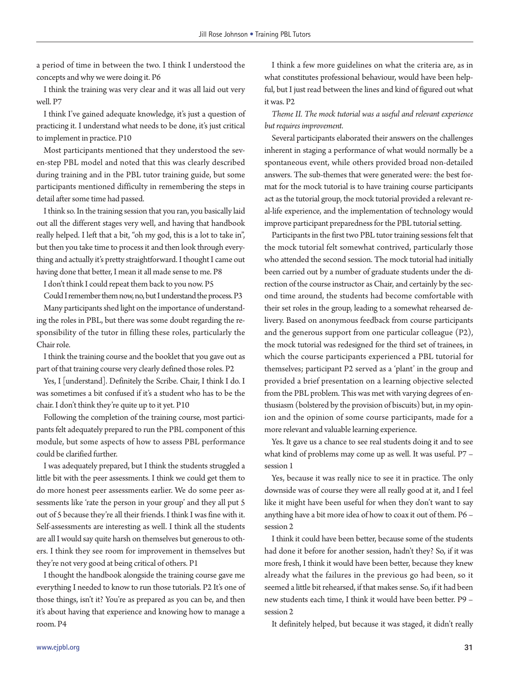a period of time in between the two. I think I understood the concepts and why we were doing it. P6

I think the training was very clear and it was all laid out very well. P7

I think I've gained adequate knowledge, it's just a question of practicing it. I understand what needs to be done, it's just critical to implement in practice. P10

Most participants mentioned that they understood the seven-step PBL model and noted that this was clearly described during training and in the PBL tutor training guide, but some participants mentioned difficulty in remembering the steps in detail after some time had passed.

I think so. In the training session that you ran, you basically laid out all the different stages very well, and having that handbook really helped. I left that a bit, "oh my god, this is a lot to take in", but then you take time to process it and then look through everything and actually it's pretty straightforward. I thought I came out having done that better, I mean it all made sense to me. P8

I don't think I could repeat them back to you now. P5

Could I remember them now, no, but I understand the process. P3

Many participants shed light on the importance of understanding the roles in PBL, but there was some doubt regarding the responsibility of the tutor in filling these roles, particularly the Chair role.

I think the training course and the booklet that you gave out as part of that training course very clearly defined those roles. P2

Yes, I [understand]. Definitely the Scribe. Chair, I think I do. I was sometimes a bit confused if it's a student who has to be the chair. I don't think they're quite up to it yet. P10

Following the completion of the training course, most participants felt adequately prepared to run the PBL component of this module, but some aspects of how to assess PBL performance could be clarified further.

I was adequately prepared, but I think the students struggled a little bit with the peer assessments. I think we could get them to do more honest peer assessments earlier. We do some peer assessments like 'rate the person in your group' and they all put 5 out of 5 because they're all their friends. I think I was fine with it. Self-assessments are interesting as well. I think all the students are all I would say quite harsh on themselves but generous to others. I think they see room for improvement in themselves but they're not very good at being critical of others. P1

I thought the handbook alongside the training course gave me everything I needed to know to run those tutorials. P2 It's one of those things, isn't it? You're as prepared as you can be, and then it's about having that experience and knowing how to manage a room. P4

I think a few more guidelines on what the criteria are, as in what constitutes professional behaviour, would have been helpful, but I just read between the lines and kind of figured out what it was. P2

*Theme II. The mock tutorial was a useful and relevant experience but requires improvement.* 

Several participants elaborated their answers on the challenges inherent in staging a performance of what would normally be a spontaneous event, while others provided broad non-detailed answers. The sub-themes that were generated were: the best format for the mock tutorial is to have training course participants act as the tutorial group, the mock tutorial provided a relevant real-life experience, and the implementation of technology would improve participant preparedness for the PBL tutorial setting.

Participants in the first two PBL tutor training sessions felt that the mock tutorial felt somewhat contrived, particularly those who attended the second session. The mock tutorial had initially been carried out by a number of graduate students under the direction of the course instructor as Chair, and certainly by the second time around, the students had become comfortable with their set roles in the group, leading to a somewhat rehearsed delivery. Based on anonymous feedback from course participants and the generous support from one particular colleague (P2), the mock tutorial was redesigned for the third set of trainees, in which the course participants experienced a PBL tutorial for themselves; participant P2 served as a 'plant' in the group and provided a brief presentation on a learning objective selected from the PBL problem. This was met with varying degrees of enthusiasm (bolstered by the provision of biscuits) but, in my opinion and the opinion of some course participants, made for a more relevant and valuable learning experience.

Yes. It gave us a chance to see real students doing it and to see what kind of problems may come up as well. It was useful. P7 – session 1

Yes, because it was really nice to see it in practice. The only downside was of course they were all really good at it, and I feel like it might have been useful for when they don't want to say anything have a bit more idea of how to coax it out of them. P6 – session 2

I think it could have been better, because some of the students had done it before for another session, hadn't they? So, if it was more fresh, I think it would have been better, because they knew already what the failures in the previous go had been, so it seemed a little bit rehearsed, if that makes sense. So, if it had been new students each time, I think it would have been better. P9 – session 2

It definitely helped, but because it was staged, it didn't really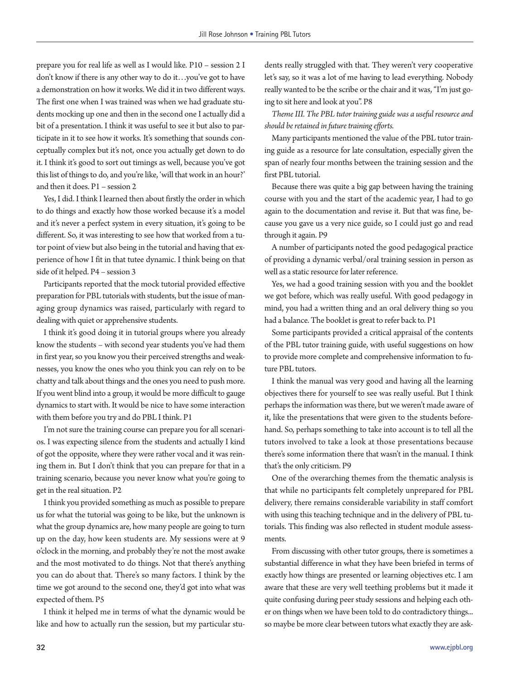prepare you for real life as well as I would like. P10 – session 2 I don't know if there is any other way to do it…you've got to have a demonstration on how it works. We did it in two different ways. The first one when I was trained was when we had graduate students mocking up one and then in the second one I actually did a bit of a presentation. I think it was useful to see it but also to participate in it to see how it works. It's something that sounds conceptually complex but it's not, once you actually get down to do it. I think it's good to sort out timings as well, because you've got this list of things to do, and you're like, 'will that work in an hour?' and then it does. P1 – session 2

Yes, I did. I think I learned then about firstly the order in which to do things and exactly how those worked because it's a model and it's never a perfect system in every situation, it's going to be different. So, it was interesting to see how that worked from a tutor point of view but also being in the tutorial and having that experience of how I fit in that tutee dynamic. I think being on that side of it helped. P4 – session 3

Participants reported that the mock tutorial provided effective preparation for PBL tutorials with students, but the issue of managing group dynamics was raised, particularly with regard to dealing with quiet or apprehensive students.

I think it's good doing it in tutorial groups where you already know the students – with second year students you've had them in first year, so you know you their perceived strengths and weaknesses, you know the ones who you think you can rely on to be chatty and talk about things and the ones you need to push more. If you went blind into a group, it would be more difficult to gauge dynamics to start with. It would be nice to have some interaction with them before you try and do PBL I think. P1

I'm not sure the training course can prepare you for all scenarios. I was expecting silence from the students and actually I kind of got the opposite, where they were rather vocal and it was reining them in. But I don't think that you can prepare for that in a training scenario, because you never know what you're going to get in the real situation. P2

I think you provided something as much as possible to prepare us for what the tutorial was going to be like, but the unknown is what the group dynamics are, how many people are going to turn up on the day, how keen students are. My sessions were at 9 o'clock in the morning, and probably they're not the most awake and the most motivated to do things. Not that there's anything you can do about that. There's so many factors. I think by the time we got around to the second one, they'd got into what was expected of them. P5

I think it helped me in terms of what the dynamic would be like and how to actually run the session, but my particular stu-

dents really struggled with that. They weren't very cooperative let's say, so it was a lot of me having to lead everything. Nobody really wanted to be the scribe or the chair and it was, "I'm just going to sit here and look at you". P8

*Theme III. The PBL tutor training guide was a useful resource and should be retained in future training efforts.* 

Many participants mentioned the value of the PBL tutor training guide as a resource for late consultation, especially given the span of nearly four months between the training session and the first PBL tutorial.

Because there was quite a big gap between having the training course with you and the start of the academic year, I had to go again to the documentation and revise it. But that was fine, because you gave us a very nice guide, so I could just go and read through it again. P9

A number of participants noted the good pedagogical practice of providing a dynamic verbal/oral training session in person as well as a static resource for later reference.

Yes, we had a good training session with you and the booklet we got before, which was really useful. With good pedagogy in mind, you had a written thing and an oral delivery thing so you had a balance. The booklet is great to refer back to. P1

Some participants provided a critical appraisal of the contents of the PBL tutor training guide, with useful suggestions on how to provide more complete and comprehensive information to future PBL tutors.

I think the manual was very good and having all the learning objectives there for yourself to see was really useful. But I think perhaps the information was there, but we weren't made aware of it, like the presentations that were given to the students beforehand. So, perhaps something to take into account is to tell all the tutors involved to take a look at those presentations because there's some information there that wasn't in the manual. I think that's the only criticism. P9

One of the overarching themes from the thematic analysis is that while no participants felt completely unprepared for PBL delivery, there remains considerable variability in staff comfort with using this teaching technique and in the delivery of PBL tutorials. This finding was also reflected in student module assessments.

From discussing with other tutor groups, there is sometimes a substantial difference in what they have been briefed in terms of exactly how things are presented or learning objectives etc. I am aware that these are very well teething problems but it made it quite confusing during peer study sessions and helping each other on things when we have been told to do contradictory things... so maybe be more clear between tutors what exactly they are ask-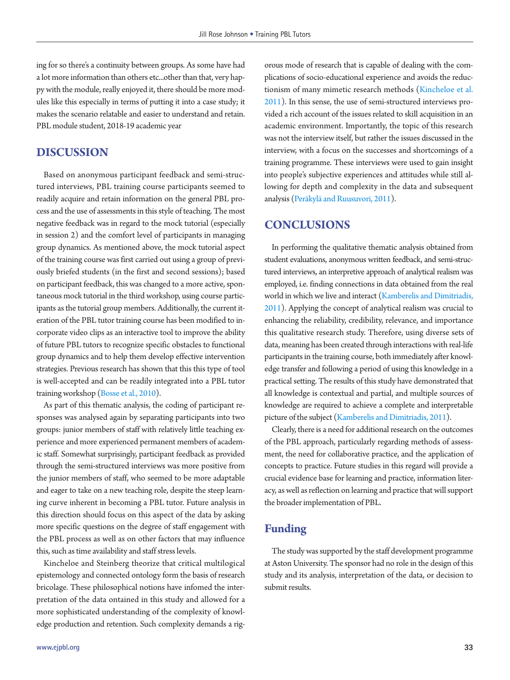ing for so there's a continuity between groups. As some have had a lot more information than others etc...other than that, very happy with the module, really enjoyed it, there should be more modules like this especially in terms of putting it into a case study; it makes the scenario relatable and easier to understand and retain. PBL module student, 2018-19 academic year

## **DISCUSSION**

Based on anonymous participant feedback and semi-structured interviews, PBL training course participants seemed to readily acquire and retain information on the general PBL process and the use of assessments in this style of teaching. The most negative feedback was in regard to the mock tutorial (especially in session 2) and the comfort level of participants in managing group dynamics. As mentioned above, the mock tutorial aspect of the training course was first carried out using a group of previously briefed students (in the first and second sessions); based on participant feedback, this was changed to a more active, spontaneous mock tutorial in the third workshop, using course participants as the tutorial group members. Additionally, the current iteration of the PBL tutor training course has been modified to incorporate video clips as an interactive tool to improve the ability of future PBL tutors to recognize specific obstacles to functional group dynamics and to help them develop effective intervention strategies. Previous research has shown that this this type of tool is well-accepted and can be readily integrated into a PBL tutor training workshop (Bosse et al., 2010).

As part of this thematic analysis, the coding of participant responses was analysed again by separating participants into two groups: junior members of staff with relatively little teaching experience and more experienced permanent members of academic staff. Somewhat surprisingly, participant feedback as provided through the semi-structured interviews was more positive from the junior members of staff, who seemed to be more adaptable and eager to take on a new teaching role, despite the steep learning curve inherent in becoming a PBL tutor. Future analysis in this direction should focus on this aspect of the data by asking more specific questions on the degree of staff engagement with the PBL process as well as on other factors that may influence this, such as time availability and staff stress levels.

Kincheloe and Steinberg theorize that critical multilogical epistemology and connected ontology form the basis of research bricolage. These philosophical notions have infomed the interpretation of the data ontained in this study and allowed for a more sophisticated understanding of the complexity of knowledge production and retention. Such complexity demands a rig-

orous mode of research that is capable of dealing with the complications of socio-educational experience and avoids the reductionism of many mimetic research methods [\(Kincheloe et al.](#page-10-15)  [2011\)](#page-10-15). In this sense, the use of semi-structured interviews provided a rich account of the issues related to skill acquisition in an academic environment. Importantly, the topic of this research was not the interview itself, but rather the issues discussed in the interview, with a focus on the successes and shortcomings of a training programme. These interviews were used to gain insight into people's subjective experiences and attitudes while still allowing for depth and complexity in the data and subsequent analysis [\(Peräkylä and Ruusuvori, 2011\)](#page-10-16).

## **CONCLUSIONS**

In performing the qualitative thematic analysis obtained from student evaluations, anonymous written feedback, and semi-structured interviews, an interpretive approach of analytical realism was employed, i.e. finding connections in data obtained from the real world in which we live and interact [\(Kamberelis and Dimitriadis,](#page-10-17)  [2011](#page-10-17)). Applying the concept of analytical realism was crucial to enhancing the reliability, credibility, relevance, and importance this qualitative research study. Therefore, using diverse sets of data, meaning has been created through interactions with real-life participants in the training course, both immediately after knowledge transfer and following a period of using this knowledge in a practical setting. The results of this study have demonstrated that all knowledge is contextual and partial, and multiple sources of knowledge are required to achieve a complete and interpretable picture of the subject [\(Kamberelis and Dimitriadis, 2011](#page-10-17)).

Clearly, there is a need for additional research on the outcomes of the PBL approach, particularly regarding methods of assessment, the need for collaborative practice, and the application of concepts to practice. Future studies in this regard will provide a crucial evidence base for learning and practice, information literacy, as well as reflection on learning and practice that will support the broader implementation of PBL.

# **Funding**

The study was supported by the staff development programme at Aston University. The sponsor had no role in the design of this study and its analysis, interpretation of the data, or decision to submit results.